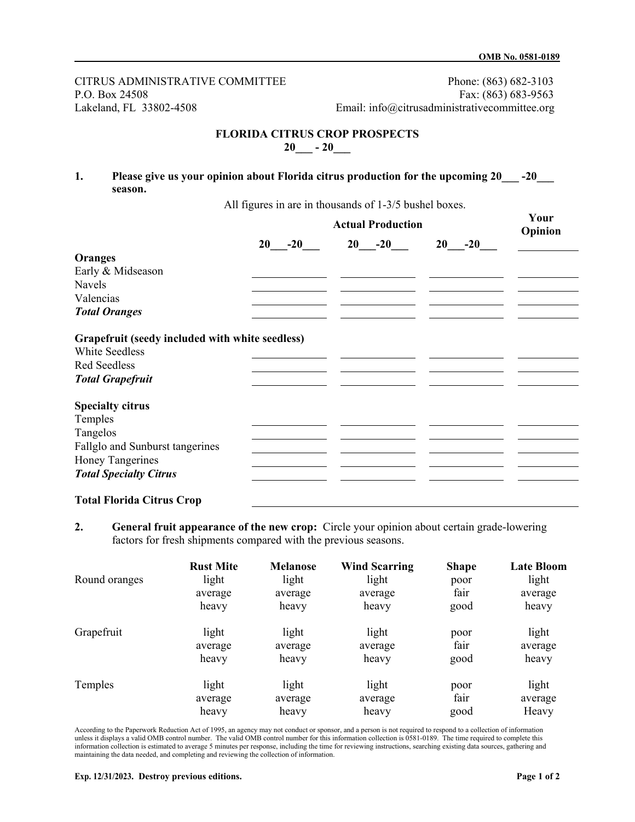CITRUS ADMINISTRATIVE COMMITTEE Phone: (863) 682-3103 P.O. Box 24508 Fax: (863) 683-9563 Lakeland, FL 33802-4508 Email: info@citrusadministrativecommittee.org

## **FLORIDA CITRUS CROP PROSPECTS 20\_\_\_ - 20\_\_\_**

## **1. Please give us your opinion about Florida citrus production for the upcoming 20\_\_\_ -20\_\_\_ season.**

All figures in are in thousands of 1-3/5 bushel boxes.

|                                                                          | <b>Actual Production</b> |          |             | Your<br>Opinion |
|--------------------------------------------------------------------------|--------------------------|----------|-------------|-----------------|
|                                                                          | $20 -20$                 | $20 -20$ | $-20$<br>20 |                 |
| Oranges                                                                  |                          |          |             |                 |
| Early & Midseason                                                        |                          |          |             |                 |
| <b>Navels</b>                                                            |                          |          |             |                 |
| Valencias                                                                |                          |          |             |                 |
| <b>Total Oranges</b>                                                     |                          |          |             |                 |
| Grapefruit (seedy included with white seedless)<br><b>White Seedless</b> |                          |          |             |                 |
| <b>Red Seedless</b>                                                      |                          |          |             |                 |
| <b>Total Grapefruit</b>                                                  |                          |          |             |                 |
| <b>Specialty citrus</b>                                                  |                          |          |             |                 |
| Temples                                                                  |                          |          |             |                 |
| Tangelos                                                                 |                          |          |             |                 |
| Fallglo and Sunburst tangerines                                          |                          |          |             |                 |
| Honey Tangerines                                                         |                          |          |             |                 |
| <b>Total Specialty Citrus</b>                                            |                          |          |             |                 |
|                                                                          |                          |          |             |                 |

## **Total Florida Citrus Crop**

**2. General fruit appearance of the new crop:** Circle your opinion about certain grade-lowering factors for fresh shipments compared with the previous seasons.

|               | <b>Rust Mite</b> | <b>Melanose</b> | <b>Wind Scarring</b> | <b>Shape</b> | <b>Late Bloom</b> |
|---------------|------------------|-----------------|----------------------|--------------|-------------------|
| Round oranges | light            | light           | light                | poor         | light             |
|               | average          | average         | average              | fair         | average           |
|               | heavy            | heavy           | heavy                | good         | heavy             |
| Grapefruit    | light            | light           | light                | poor         | light             |
|               | average          | average         | average              | fair         | average           |
|               | heavy            | heavy           | heavy                | good         | heavy             |
| Temples       | light            | light           | light                | poor         | light             |
|               | average          | average         | average              | fair         | average           |
|               | heavy            | heavy           | heavy                | good         | Heavy             |

According to the Paperwork Reduction Act of 1995, an agency may not conduct or sponsor, and a person is not required to respond to a collection of information unless it displays a valid OMB control number. The valid OMB control number for this information collection is 0581-0189. The time required to complete this information collection is estimated to average 5 minutes per response, including the time for reviewing instructions, searching existing data sources, gathering and maintaining the data needed, and completing and reviewing the collection of information.